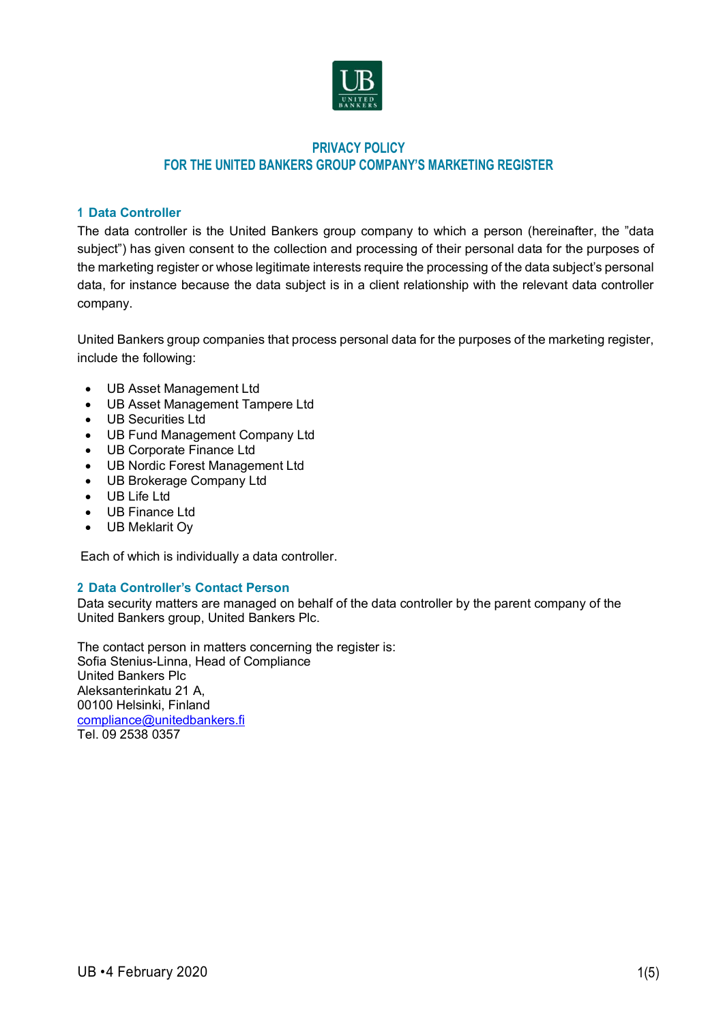

# **PRIVACY POLICY FOR THE UNITED BANKERS GROUP COMPANY'S MARKETING REGISTER**

## **1 Data Controller**

The data controller is the United Bankers group company to which a person (hereinafter, the "data subject") has given consent to the collection and processing of their personal data for the purposes of the marketing register or whose legitimate interests require the processing of the data subject's personal data, for instance because the data subject is in a client relationship with the relevant data controller company.

United Bankers group companies that process personal data for the purposes of the marketing register, include the following:

- UB Asset Management Ltd
- UB Asset Management Tampere Ltd
- UB Securities Ltd
- UB Fund Management Company Ltd
- UB Corporate Finance Ltd
- UB Nordic Forest Management Ltd
- UB Brokerage Company Ltd
- UB Life Ltd
- UB Finance Ltd
- UB Meklarit Oy

Each of which is individually a data controller.

## **2 Data Controller's Contact Person**

Data security matters are managed on behalf of the data controller by the parent company of the United Bankers group, United Bankers Plc.

The contact person in matters concerning the register is: Sofia Stenius-Linna, Head of Compliance United Bankers Plc Aleksanterinkatu 21 A, 00100 Helsinki, Finland compliance@unitedbankers.fi Tel. 09 2538 0357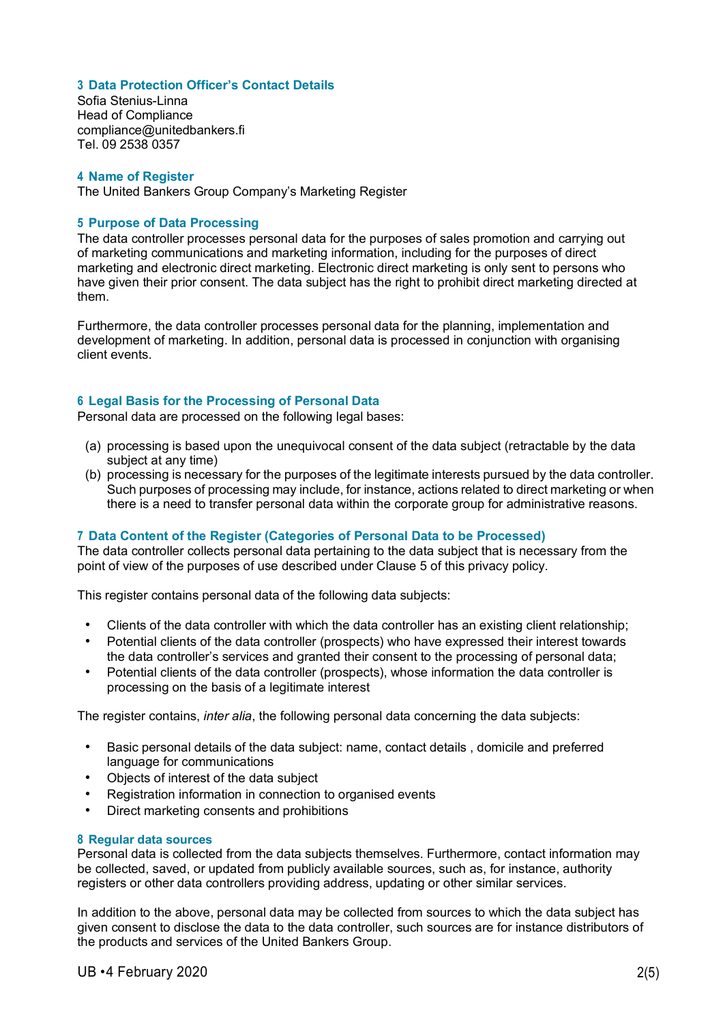### **3 Data Protection Officer's Contact Details**

Sofia Stenius-Linna Head of Compliance compliance@unitedbankers.fi Tel. 09 2538 0357

### **4 Name of Register**

The United Bankers Group Company's Marketing Register

### **5 Purpose of Data Processing**

The data controller processes personal data for the purposes of sales promotion and carrying out of marketing communications and marketing information, including for the purposes of direct marketing and electronic direct marketing. Electronic direct marketing is only sent to persons who have given their prior consent. The data subject has the right to prohibit direct marketing directed at them.

Furthermore, the data controller processes personal data for the planning, implementation and development of marketing. In addition, personal data is processed in conjunction with organising client events.

#### **6 Legal Basis for the Processing of Personal Data**

Personal data are processed on the following legal bases:

- (a) processing is based upon the unequivocal consent of the data subject (retractable by the data subject at any time)
- (b) processing is necessary for the purposes of the legitimate interests pursued by the data controller. Such purposes of processing may include, for instance, actions related to direct marketing or when there is a need to transfer personal data within the corporate group for administrative reasons.

### **7 Data Content of the Register (Categories of Personal Data to be Processed)**

The data controller collects personal data pertaining to the data subject that is necessary from the point of view of the purposes of use described under Clause 5 of this privacy policy.

This register contains personal data of the following data subjects:

- Clients of the data controller with which the data controller has an existing client relationship;
- Potential clients of the data controller (prospects) who have expressed their interest towards the data controller's services and granted their consent to the processing of personal data;
- Potential clients of the data controller (prospects), whose information the data controller is processing on the basis of a legitimate interest

The register contains, *inter alia*, the following personal data concerning the data subjects:

- Basic personal details of the data subject: name, contact details , domicile and preferred language for communications
- Objects of interest of the data subject
- Registration information in connection to organised events
- Direct marketing consents and prohibitions

#### **8 Regular data sources**

Personal data is collected from the data subjects themselves. Furthermore, contact information may be collected, saved, or updated from publicly available sources, such as, for instance, authority registers or other data controllers providing address, updating or other similar services.

In addition to the above, personal data may be collected from sources to which the data subject has given consent to disclose the data to the data controller, such sources are for instance distributors of the products and services of the United Bankers Group.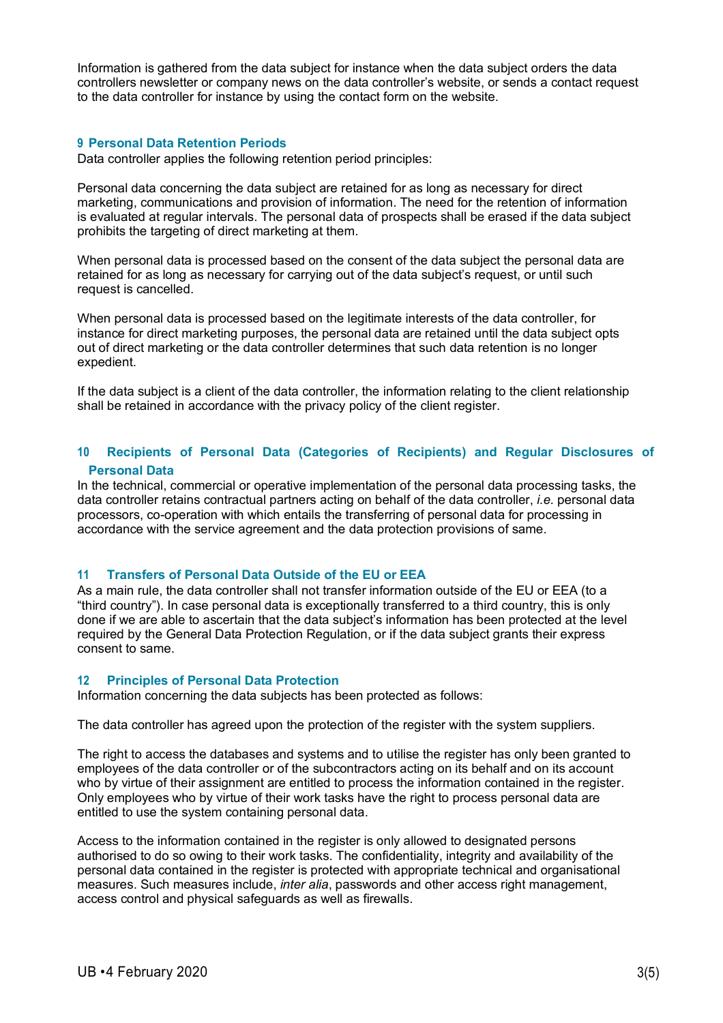Information is gathered from the data subject for instance when the data subject orders the data controllers newsletter or company news on the data controller's website, or sends a contact request to the data controller for instance by using the contact form on the website.

### **9 Personal Data Retention Periods**

Data controller applies the following retention period principles:

Personal data concerning the data subject are retained for as long as necessary for direct marketing, communications and provision of information. The need for the retention of information is evaluated at regular intervals. The personal data of prospects shall be erased if the data subject prohibits the targeting of direct marketing at them.

When personal data is processed based on the consent of the data subject the personal data are retained for as long as necessary for carrying out of the data subject's request, or until such request is cancelled.

When personal data is processed based on the legitimate interests of the data controller, for instance for direct marketing purposes, the personal data are retained until the data subject opts out of direct marketing or the data controller determines that such data retention is no longer expedient.

If the data subject is a client of the data controller, the information relating to the client relationship shall be retained in accordance with the privacy policy of the client register.

## **10 Recipients of Personal Data (Categories of Recipients) and Regular Disclosures of Personal Data**

In the technical, commercial or operative implementation of the personal data processing tasks, the data controller retains contractual partners acting on behalf of the data controller, *i.e.* personal data processors, co-operation with which entails the transferring of personal data for processing in accordance with the service agreement and the data protection provisions of same.

### **11 Transfers of Personal Data Outside of the EU or EEA**

As a main rule, the data controller shall not transfer information outside of the EU or EEA (to a "third country"). In case personal data is exceptionally transferred to a third country, this is only done if we are able to ascertain that the data subject's information has been protected at the level required by the General Data Protection Regulation, or if the data subject grants their express consent to same.

#### **12 Principles of Personal Data Protection**

Information concerning the data subjects has been protected as follows:

The data controller has agreed upon the protection of the register with the system suppliers.

The right to access the databases and systems and to utilise the register has only been granted to employees of the data controller or of the subcontractors acting on its behalf and on its account who by virtue of their assignment are entitled to process the information contained in the register. Only employees who by virtue of their work tasks have the right to process personal data are entitled to use the system containing personal data.

Access to the information contained in the register is only allowed to designated persons authorised to do so owing to their work tasks. The confidentiality, integrity and availability of the personal data contained in the register is protected with appropriate technical and organisational measures. Such measures include, *inter alia*, passwords and other access right management, access control and physical safeguards as well as firewalls.